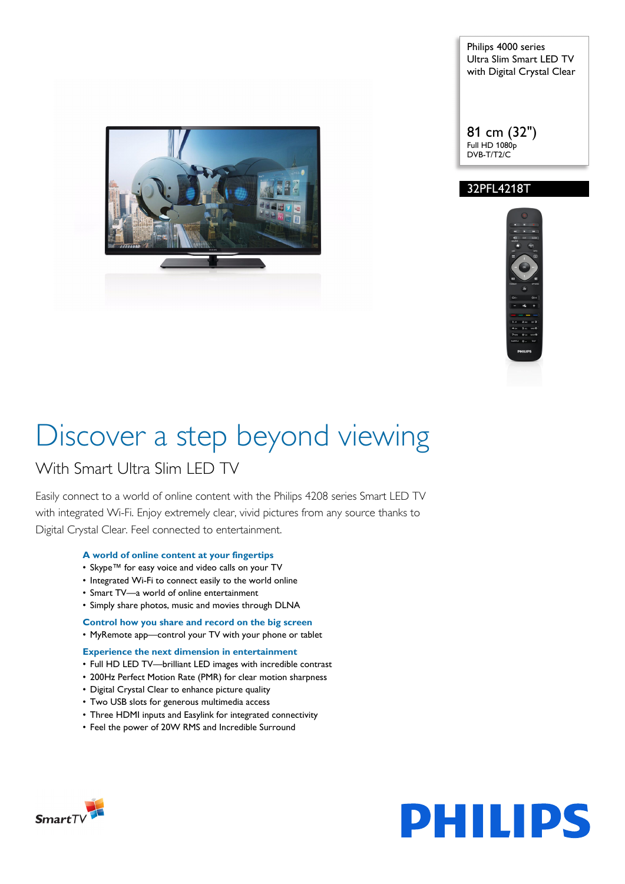

Philips 4000 series Ultra Slim Smart LED TV with Digital Crystal Clear

81 cm (32") Full HD 1080p DVB-T/T2/C

#### 32PFL4218T



# Discover a step beyond viewing

### With Smart Ultra Slim LED TV

Easily connect to a world of online content with the Philips 4208 series Smart LED TV with integrated Wi-Fi. Enjoy extremely clear, vivid pictures from any source thanks to Digital Crystal Clear. Feel connected to entertainment.

#### **A world of online content at your fingertips**

- Skype™ for easy voice and video calls on your TV
- Integrated Wi-Fi to connect easily to the world online
- Smart TV—a world of online entertainment
- Simply share photos, music and movies through DLNA

#### **Control how you share and record on the big screen**

• MyRemote app—control your TV with your phone or tablet

#### **Experience the next dimension in entertainment**

- Full HD LED TV—brilliant LED images with incredible contrast
- 200Hz Perfect Motion Rate (PMR) for clear motion sharpness
- Digital Crystal Clear to enhance picture quality
- Two USB slots for generous multimedia access
- Three HDMI inputs and Easylink for integrated connectivity
- Feel the power of 20W RMS and Incredible Surround



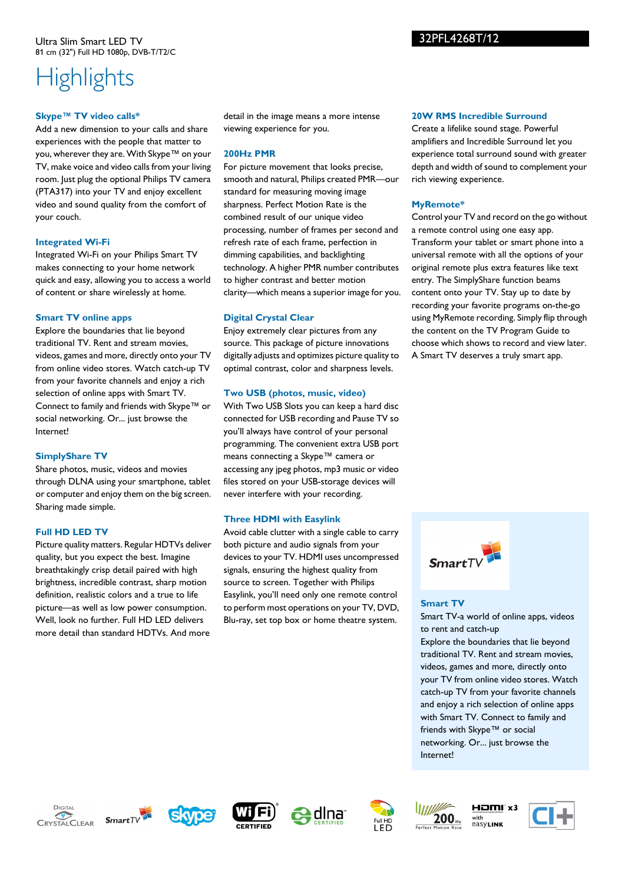#### Ultra Slim Smart LED TV 81 cm (32") Full HD 1080p, DVB-T/T2/C

## **Highlights**

#### **Skype™ TV video calls\***

Add a new dimension to your calls and share experiences with the people that matter to you, wherever they are. With Skype™ on your TV, make voice and video calls from your living room. Just plug the optional Philips TV camera (PTA317) into your TV and enjoy excellent video and sound quality from the comfort of your couch.

#### **Integrated Wi-Fi**

Integrated Wi-Fi on your Philips Smart TV makes connecting to your home network quick and easy, allowing you to access a world of content or share wirelessly at home.

#### **Smart TV online apps**

Explore the boundaries that lie beyond traditional TV. Rent and stream movies, videos, games and more, directly onto your TV from online video stores. Watch catch-up TV from your favorite channels and enjoy a rich selection of online apps with Smart TV. Connect to family and friends with Skype™ or social networking. Or... just browse the Internet!

#### **SimplyShare TV**

Share photos, music, videos and movies through DLNA using your smartphone, tablet or computer and enjoy them on the big screen. Sharing made simple.

#### **Full HD LED TV**

Picture quality matters. Regular HDTVs deliver quality, but you expect the best. Imagine breathtakingly crisp detail paired with high brightness, incredible contrast, sharp motion definition, realistic colors and a true to life picture—as well as low power consumption. Well, look no further. Full HD LED delivers more detail than standard HDTVs. And more

detail in the image means a more intense viewing experience for you.

#### **200Hz PMR**

For picture movement that looks precise, smooth and natural, Philips created PMR—our standard for measuring moving image sharpness. Perfect Motion Rate is the combined result of our unique video processing, number of frames per second and refresh rate of each frame, perfection in dimming capabilities, and backlighting technology. A higher PMR number contributes to higher contrast and better motion clarity—which means a superior image for you.

#### **Digital Crystal Clear**

Enjoy extremely clear pictures from any source. This package of picture innovations digitally adjusts and optimizes picture quality to optimal contrast, color and sharpness levels.

#### **Two USB (photos, music, video)**

With Two USB Slots you can keep a hard disc connected for USB recording and Pause TV so you'll always have control of your personal programming. The convenient extra USB port means connecting a Skype™ camera or accessing any jpeg photos, mp3 music or video files stored on your USB-storage devices will never interfere with your recording.

#### **Three HDMI with Easylink**

Avoid cable clutter with a single cable to carry both picture and audio signals from your devices to your TV. HDMI uses uncompressed signals, ensuring the highest quality from source to screen. Together with Philips Easylink, you'll need only one remote control to perform most operations on your TV, DVD, Blu-ray, set top box or home theatre system.

#### **20W RMS Incredible Surround**

Create a lifelike sound stage. Powerful amplifiers and Incredible Surround let you experience total surround sound with greater depth and width of sound to complement your rich viewing experience.

#### **MyRemote\***

Control your TV and record on the go without a remote control using one easy app. Transform your tablet or smart phone into a universal remote with all the options of your original remote plus extra features like text entry. The SimplyShare function beams content onto your TV. Stay up to date by recording your favorite programs on-the-go using MyRemote recording. Simply flip through the content on the TV Program Guide to choose which shows to record and view later. A Smart TV deserves a truly smart app.



#### **Smart TV**

Smart TV-a world of online apps, videos to rent and catch-up Explore the boundaries that lie beyond traditional TV. Rent and stream movies, videos, games and more, directly onto your TV from online video stores. Watch catch-up TV from your favorite channels and enjoy a rich selection of online apps with Smart TV. Connect to family and friends with Skype™ or social networking. Or... just browse the Internet!